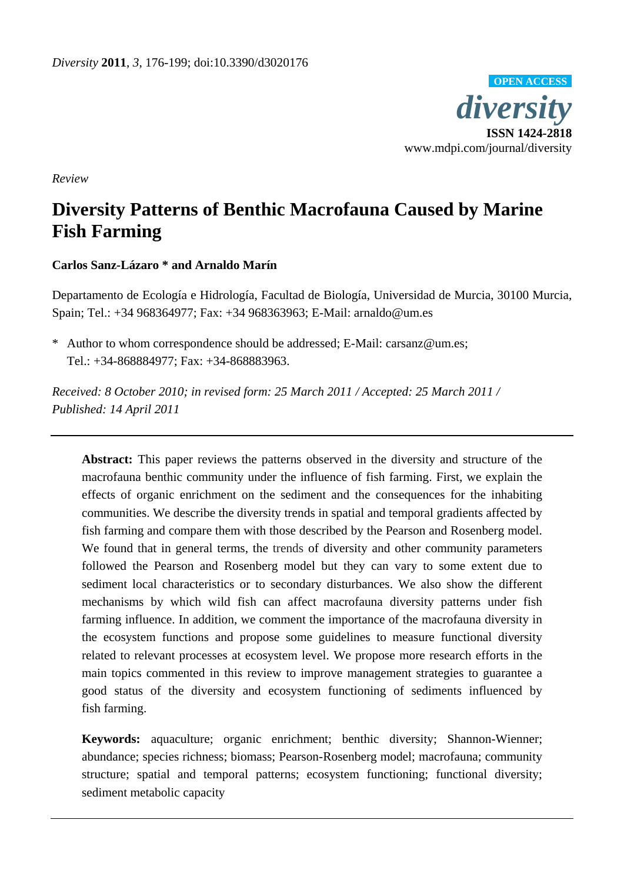

*Review* 

# **Diversity Patterns of Benthic Macrofauna Caused by Marine Fish Farming**

## **Carlos Sanz-Lázaro \* and Arnaldo Marín**

Departamento de Ecología e Hidrología, Facultad de Biología, Universidad de Murcia, 30100 Murcia, Spain; Tel.: +34 968364977; Fax: +34 968363963; E-Mail: arnaldo@um.es

\* Author to whom correspondence should be addressed; E-Mail: carsanz@um.es; Tel.: +34-868884977; Fax: +34-868883963.

*Received: 8 October 2010; in revised form: 25 March 2011 / Accepted: 25 March 2011 / Published: 14 April 2011* 

**Abstract:** This paper reviews the patterns observed in the diversity and structure of the macrofauna benthic community under the influence of fish farming. First, we explain the effects of organic enrichment on the sediment and the consequences for the inhabiting communities. We describe the diversity trends in spatial and temporal gradients affected by fish farming and compare them with those described by the Pearson and Rosenberg model. We found that in general terms, the trends of diversity and other community parameters followed the Pearson and Rosenberg model but they can vary to some extent due to sediment local characteristics or to secondary disturbances. We also show the different mechanisms by which wild fish can affect macrofauna diversity patterns under fish farming influence. In addition, we comment the importance of the macrofauna diversity in the ecosystem functions and propose some guidelines to measure functional diversity related to relevant processes at ecosystem level. We propose more research efforts in the main topics commented in this review to improve management strategies to guarantee a good status of the diversity and ecosystem functioning of sediments influenced by fish farming.

**Keywords:** aquaculture; organic enrichment; benthic diversity; Shannon-Wienner; abundance; species richness; biomass; Pearson-Rosenberg model; macrofauna; community structure; spatial and temporal patterns; ecosystem functioning; functional diversity; sediment metabolic capacity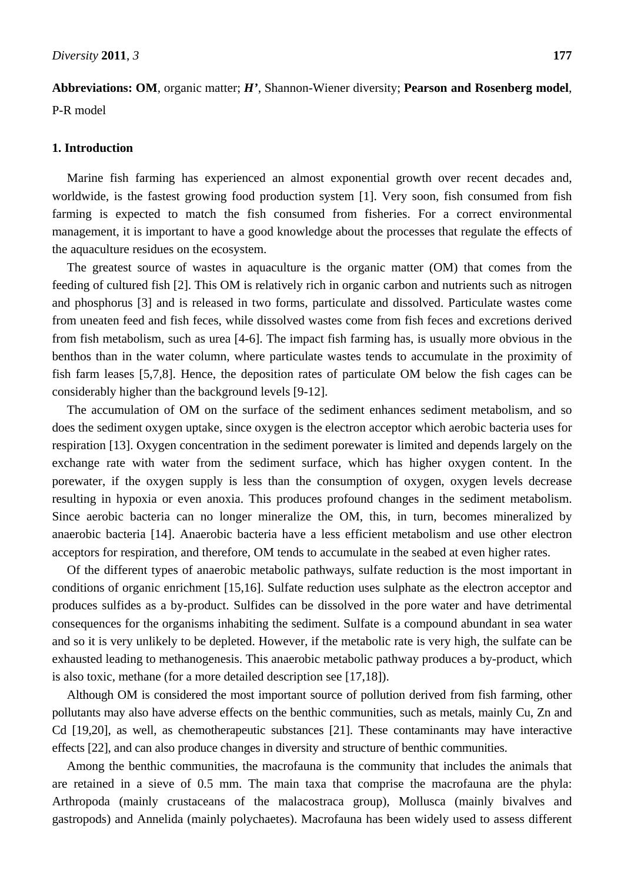**Abbreviations: OM**, organic matter; *H'*, Shannon-Wiener diversity; **Pearson and Rosenberg model**, P-R model

#### **1. Introduction**

Marine fish farming has experienced an almost exponential growth over recent decades and, worldwide, is the fastest growing food production system [1]. Very soon, fish consumed from fish farming is expected to match the fish consumed from fisheries. For a correct environmental management, it is important to have a good knowledge about the processes that regulate the effects of the aquaculture residues on the ecosystem.

The greatest source of wastes in aquaculture is the organic matter (OM) that comes from the feeding of cultured fish [2]. This OM is relatively rich in organic carbon and nutrients such as nitrogen and phosphorus [3] and is released in two forms, particulate and dissolved. Particulate wastes come from uneaten feed and fish feces, while dissolved wastes come from fish feces and excretions derived from fish metabolism, such as urea [4-6]. The impact fish farming has, is usually more obvious in the benthos than in the water column, where particulate wastes tends to accumulate in the proximity of fish farm leases [5,7,8]. Hence, the deposition rates of particulate OM below the fish cages can be considerably higher than the background levels [9-12].

The accumulation of OM on the surface of the sediment enhances sediment metabolism, and so does the sediment oxygen uptake, since oxygen is the electron acceptor which aerobic bacteria uses for respiration [13]. Oxygen concentration in the sediment porewater is limited and depends largely on the exchange rate with water from the sediment surface, which has higher oxygen content. In the porewater, if the oxygen supply is less than the consumption of oxygen, oxygen levels decrease resulting in hypoxia or even anoxia. This produces profound changes in the sediment metabolism. Since aerobic bacteria can no longer mineralize the OM, this, in turn, becomes mineralized by anaerobic bacteria [14]. Anaerobic bacteria have a less efficient metabolism and use other electron acceptors for respiration, and therefore, OM tends to accumulate in the seabed at even higher rates.

Of the different types of anaerobic metabolic pathways, sulfate reduction is the most important in conditions of organic enrichment [15,16]. Sulfate reduction uses sulphate as the electron acceptor and produces sulfides as a by-product. Sulfides can be dissolved in the pore water and have detrimental consequences for the organisms inhabiting the sediment. Sulfate is a compound abundant in sea water and so it is very unlikely to be depleted. However, if the metabolic rate is very high, the sulfate can be exhausted leading to methanogenesis. This anaerobic metabolic pathway produces a by-product, which is also toxic, methane (for a more detailed description see [17,18]).

Although OM is considered the most important source of pollution derived from fish farming, other pollutants may also have adverse effects on the benthic communities, such as metals, mainly Cu, Zn and Cd [19,20], as well, as chemotherapeutic substances [21]. These contaminants may have interactive effects [22], and can also produce changes in diversity and structure of benthic communities.

Among the benthic communities, the macrofauna is the community that includes the animals that are retained in a sieve of 0.5 mm. The main taxa that comprise the macrofauna are the phyla: Arthropoda (mainly crustaceans of the malacostraca group), Mollusca (mainly bivalves and gastropods) and Annelida (mainly polychaetes). Macrofauna has been widely used to assess different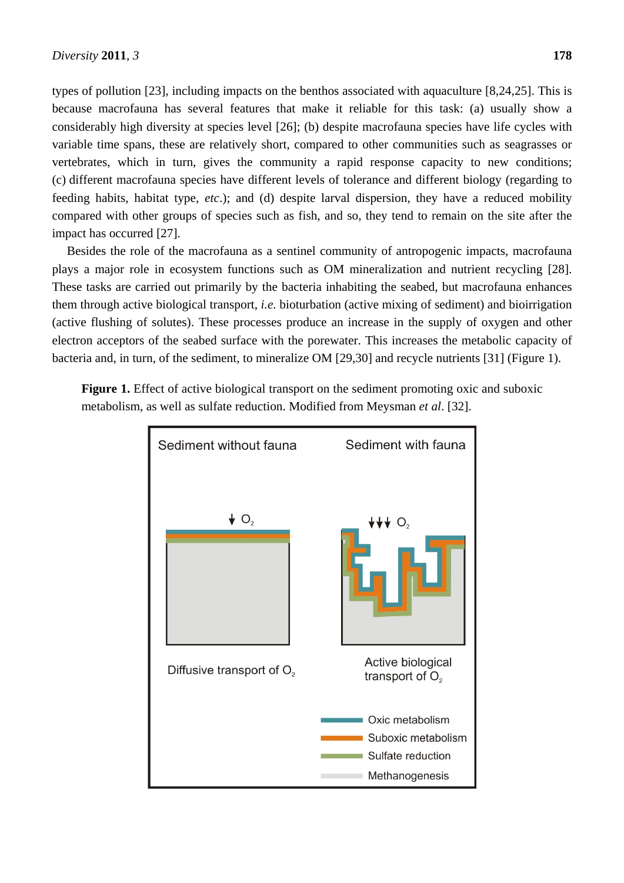types of pollution [23], including impacts on the benthos associated with aquaculture [8,24,25]. This is because macrofauna has several features that make it reliable for this task: (a) usually show a considerably high diversity at species level [26]; (b) despite macrofauna species have life cycles with variable time spans, these are relatively short, compared to other communities such as seagrasses or vertebrates, which in turn, gives the community a rapid response capacity to new conditions; (c) different macrofauna species have different levels of tolerance and different biology (regarding to feeding habits, habitat type, *etc*.); and (d) despite larval dispersion, they have a reduced mobility compared with other groups of species such as fish, and so, they tend to remain on the site after the impact has occurred [27].

Besides the role of the macrofauna as a sentinel community of antropogenic impacts, macrofauna plays a major role in ecosystem functions such as OM mineralization and nutrient recycling [28]. These tasks are carried out primarily by the bacteria inhabiting the seabed, but macrofauna enhances them through active biological transport, *i.e.* bioturbation (active mixing of sediment) and bioirrigation (active flushing of solutes). These processes produce an increase in the supply of oxygen and other electron acceptors of the seabed surface with the porewater. This increases the metabolic capacity of bacteria and, in turn, of the sediment, to mineralize OM [29,30] and recycle nutrients [31] (Figure 1).

**Figure 1.** Effect of active biological transport on the sediment promoting oxic and suboxic metabolism, as well as sulfate reduction. Modified from Meysman *et al*. [32].

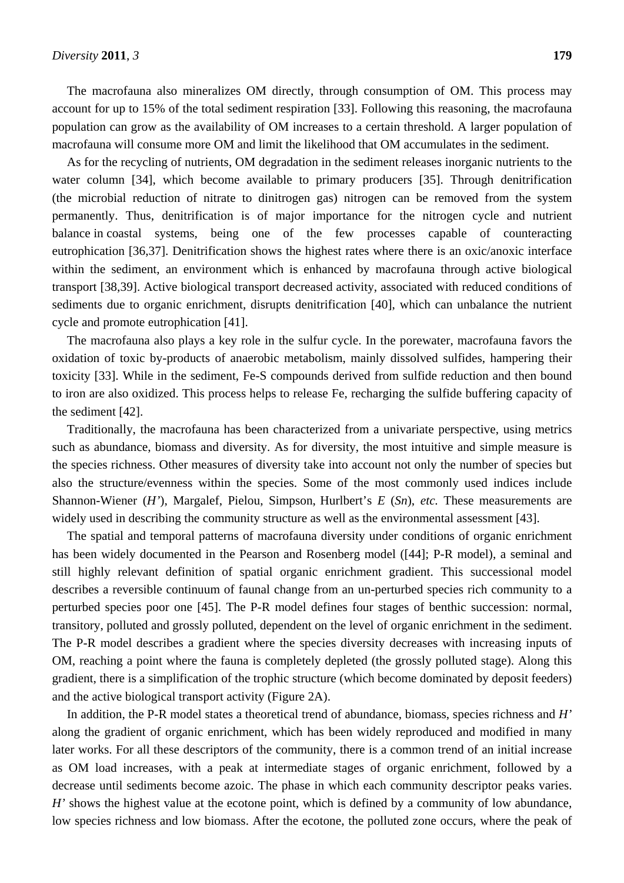The macrofauna also mineralizes OM directly, through consumption of OM. This process may account for up to 15% of the total sediment respiration [33]. Following this reasoning, the macrofauna population can grow as the availability of OM increases to a certain threshold. A larger population of macrofauna will consume more OM and limit the likelihood that OM accumulates in the sediment.

As for the recycling of nutrients, OM degradation in the sediment releases inorganic nutrients to the water column [34], which become available to primary producers [35]. Through denitrification (the microbial reduction of nitrate to dinitrogen gas) nitrogen can be removed from the system permanently. Thus, denitrification is of major importance for the nitrogen cycle and nutrient balance in coastal systems, being one of the few processes capable of counteracting eutrophication [36,37]. Denitrification shows the highest rates where there is an oxic/anoxic interface within the sediment, an environment which is enhanced by macrofauna through active biological transport [38,39]. Active biological transport decreased activity, associated with reduced conditions of sediments due to organic enrichment, disrupts denitrification [40], which can unbalance the nutrient cycle and promote eutrophication [41].

The macrofauna also plays a key role in the sulfur cycle. In the porewater, macrofauna favors the oxidation of toxic by-products of anaerobic metabolism, mainly dissolved sulfides, hampering their toxicity [33]. While in the sediment, Fe-S compounds derived from sulfide reduction and then bound to iron are also oxidized. This process helps to release Fe, recharging the sulfide buffering capacity of the sediment [42].

Traditionally, the macrofauna has been characterized from a univariate perspective, using metrics such as abundance, biomass and diversity. As for diversity, the most intuitive and simple measure is the species richness. Other measures of diversity take into account not only the number of species but also the structure/evenness within the species. Some of the most commonly used indices include Shannon-Wiener (*H'*), Margalef, Pielou, Simpson, Hurlbert's *E* (*Sn*), *etc.* These measurements are widely used in describing the community structure as well as the environmental assessment [43].

The spatial and temporal patterns of macrofauna diversity under conditions of organic enrichment has been widely documented in the Pearson and Rosenberg model ([44]; P-R model), a seminal and still highly relevant definition of spatial organic enrichment gradient. This successional model describes a reversible continuum of faunal change from an un-perturbed species rich community to a perturbed species poor one [45]. The P-R model defines four stages of benthic succession: normal, transitory, polluted and grossly polluted, dependent on the level of organic enrichment in the sediment. The P-R model describes a gradient where the species diversity decreases with increasing inputs of OM, reaching a point where the fauna is completely depleted (the grossly polluted stage). Along this gradient, there is a simplification of the trophic structure (which become dominated by deposit feeders) and the active biological transport activity (Figure 2A).

In addition, the P-R model states a theoretical trend of abundance, biomass, species richness and *H'* along the gradient of organic enrichment, which has been widely reproduced and modified in many later works. For all these descriptors of the community, there is a common trend of an initial increase as OM load increases, with a peak at intermediate stages of organic enrichment, followed by a decrease until sediments become azoic. The phase in which each community descriptor peaks varies. *H'* shows the highest value at the ecotone point, which is defined by a community of low abundance, low species richness and low biomass. After the ecotone, the polluted zone occurs, where the peak of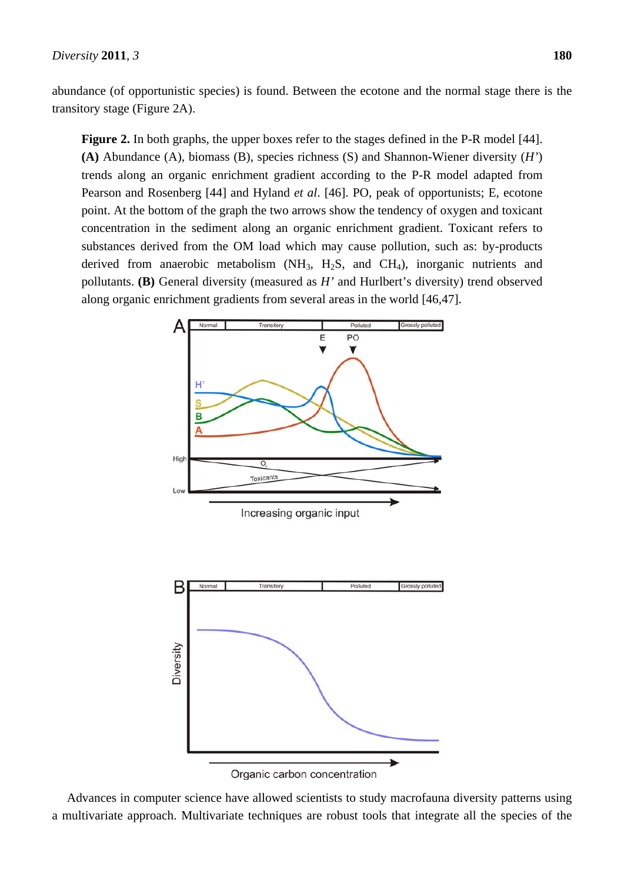abundance (of opportunistic species) is found. Between the ecotone and the normal stage there is the transitory stage (Figure 2A).

Figure 2. In both graphs, the upper boxes refer to the stages defined in the P-R model [44]. **(A)** Abundance (A), biomass (B), species richness (S) and Shannon-Wiener diversity (*H'*) trends along an organic enrichment gradient according to the P-R model adapted from Pearson and Rosenberg [44] and Hyland *et al*. [46]. PO, peak of opportunists; E, ecotone point. At the bottom of the graph the two arrows show the tendency of oxygen and toxicant concentration in the sediment along an organic enrichment gradient. Toxicant refers to substances derived from the OM load which may cause pollution, such as: by-products derived from anaerobic metabolism (NH3, H2S, and CH4), inorganic nutrients and pollutants. **(B)** General diversity (measured as *H'* and Hurlbert's diversity) trend observed along organic enrichment gradients from several areas in the world [46,47].



Advances in computer science have allowed scientists to study macrofauna diversity patterns using a multivariate approach. Multivariate techniques are robust tools that integrate all the species of the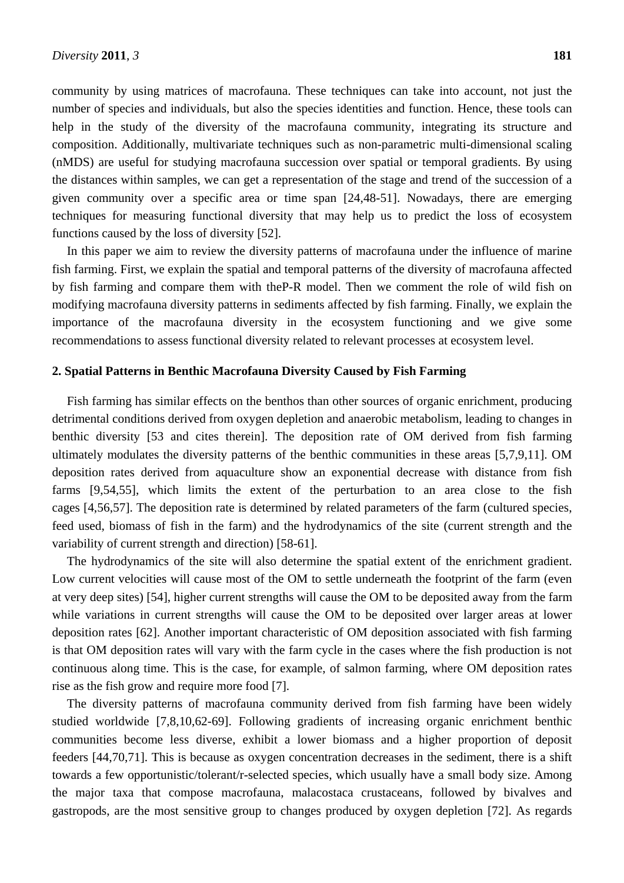community by using matrices of macrofauna. These techniques can take into account, not just the number of species and individuals, but also the species identities and function. Hence, these tools can help in the study of the diversity of the macrofauna community, integrating its structure and composition. Additionally, multivariate techniques such as non-parametric multi-dimensional scaling (nMDS) are useful for studying macrofauna succession over spatial or temporal gradients. By using the distances within samples, we can get a representation of the stage and trend of the succession of a given community over a specific area or time span [24,48-51]. Nowadays, there are emerging techniques for measuring functional diversity that may help us to predict the loss of ecosystem functions caused by the loss of diversity [52].

In this paper we aim to review the diversity patterns of macrofauna under the influence of marine fish farming. First, we explain the spatial and temporal patterns of the diversity of macrofauna affected by fish farming and compare them with theP-R model. Then we comment the role of wild fish on modifying macrofauna diversity patterns in sediments affected by fish farming. Finally, we explain the importance of the macrofauna diversity in the ecosystem functioning and we give some recommendations to assess functional diversity related to relevant processes at ecosystem level.

#### **2. Spatial Patterns in Benthic Macrofauna Diversity Caused by Fish Farming**

Fish farming has similar effects on the benthos than other sources of organic enrichment, producing detrimental conditions derived from oxygen depletion and anaerobic metabolism, leading to changes in benthic diversity [53 and cites therein]. The deposition rate of OM derived from fish farming ultimately modulates the diversity patterns of the benthic communities in these areas [5,7,9,11]. OM deposition rates derived from aquaculture show an exponential decrease with distance from fish farms [9,54,55], which limits the extent of the perturbation to an area close to the fish cages [4,56,57]. The deposition rate is determined by related parameters of the farm (cultured species, feed used, biomass of fish in the farm) and the hydrodynamics of the site (current strength and the variability of current strength and direction) [58-61].

The hydrodynamics of the site will also determine the spatial extent of the enrichment gradient. Low current velocities will cause most of the OM to settle underneath the footprint of the farm (even at very deep sites) [54], higher current strengths will cause the OM to be deposited away from the farm while variations in current strengths will cause the OM to be deposited over larger areas at lower deposition rates [62]. Another important characteristic of OM deposition associated with fish farming is that OM deposition rates will vary with the farm cycle in the cases where the fish production is not continuous along time. This is the case, for example, of salmon farming, where OM deposition rates rise as the fish grow and require more food [7].

The diversity patterns of macrofauna community derived from fish farming have been widely studied worldwide [7,8,10,62-69]. Following gradients of increasing organic enrichment benthic communities become less diverse, exhibit a lower biomass and a higher proportion of deposit feeders [44,70,71]. This is because as oxygen concentration decreases in the sediment, there is a shift towards a few opportunistic/tolerant/r-selected species, which usually have a small body size. Among the major taxa that compose macrofauna, malacostaca crustaceans, followed by bivalves and gastropods, are the most sensitive group to changes produced by oxygen depletion [72]. As regards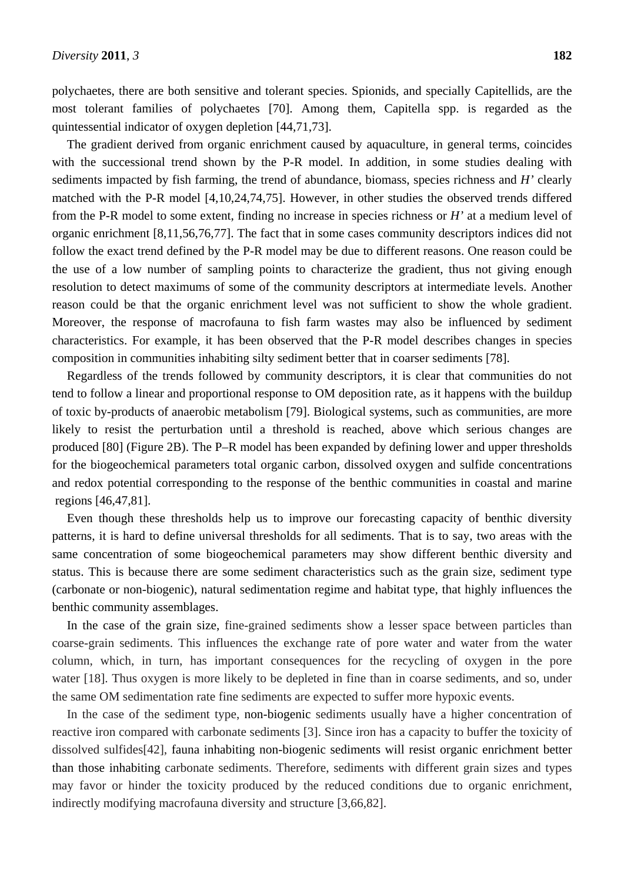polychaetes, there are both sensitive and tolerant species. Spionids, and specially Capitellids, are the most tolerant families of polychaetes [70]. Among them, Capitella spp. is regarded as the quintessential indicator of oxygen depletion [44,71,73].

The gradient derived from organic enrichment caused by aquaculture, in general terms, coincides with the successional trend shown by the P-R model. In addition, in some studies dealing with sediments impacted by fish farming, the trend of abundance, biomass, species richness and *H'* clearly matched with the P-R model [4,10,24,74,75]. However, in other studies the observed trends differed from the P-R model to some extent, finding no increase in species richness or *H'* at a medium level of organic enrichment [8,11,56,76,77]. The fact that in some cases community descriptors indices did not follow the exact trend defined by the P-R model may be due to different reasons. One reason could be the use of a low number of sampling points to characterize the gradient, thus not giving enough resolution to detect maximums of some of the community descriptors at intermediate levels. Another reason could be that the organic enrichment level was not sufficient to show the whole gradient. Moreover, the response of macrofauna to fish farm wastes may also be influenced by sediment characteristics. For example, it has been observed that the P-R model describes changes in species composition in communities inhabiting silty sediment better that in coarser sediments [78].

Regardless of the trends followed by community descriptors, it is clear that communities do not tend to follow a linear and proportional response to OM deposition rate, as it happens with the buildup of toxic by-products of anaerobic metabolism [79]. Biological systems, such as communities, are more likely to resist the perturbation until a threshold is reached, above which serious changes are produced [80] (Figure 2B). The P–R model has been expanded by defining lower and upper thresholds for the biogeochemical parameters total organic carbon, dissolved oxygen and sulfide concentrations and redox potential corresponding to the response of the benthic communities in coastal and marine regions [46,47,81].

Even though these thresholds help us to improve our forecasting capacity of benthic diversity patterns, it is hard to define universal thresholds for all sediments. That is to say, two areas with the same concentration of some biogeochemical parameters may show different benthic diversity and status. This is because there are some sediment characteristics such as the grain size, sediment type (carbonate or non-biogenic), natural sedimentation regime and habitat type, that highly influences the benthic community assemblages.

In the case of the grain size, fine-grained sediments show a lesser space between particles than coarse-grain sediments. This influences the exchange rate of pore water and water from the water column, which, in turn, has important consequences for the recycling of oxygen in the pore water [18]. Thus oxygen is more likely to be depleted in fine than in coarse sediments, and so, under the same OM sedimentation rate fine sediments are expected to suffer more hypoxic events.

In the case of the sediment type, non-biogenic sediments usually have a higher concentration of reactive iron compared with carbonate sediments [3]. Since iron has a capacity to buffer the toxicity of dissolved sulfides[42], fauna inhabiting non-biogenic sediments will resist organic enrichment better than those inhabiting carbonate sediments. Therefore, sediments with different grain sizes and types may favor or hinder the toxicity produced by the reduced conditions due to organic enrichment, indirectly modifying macrofauna diversity and structure [3,66,82].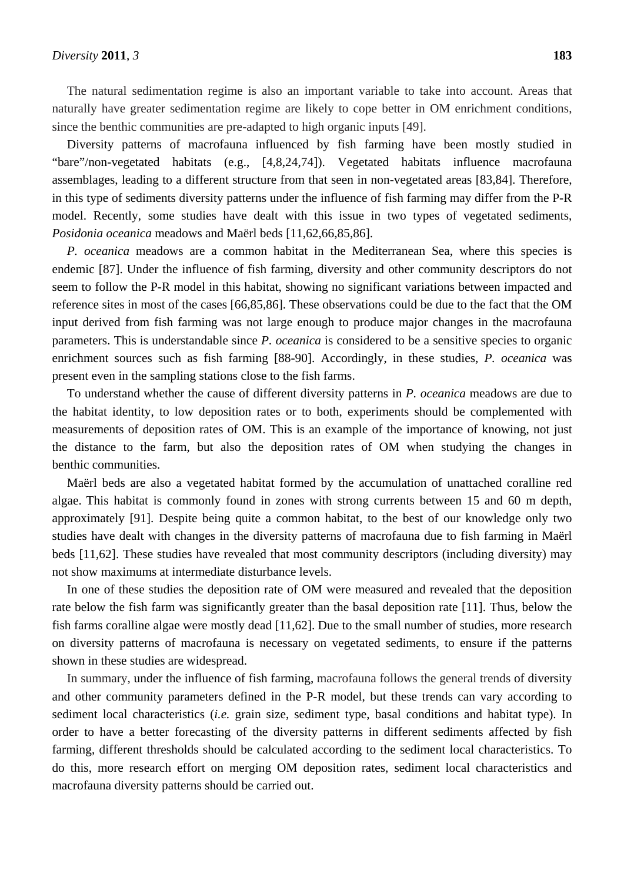The natural sedimentation regime is also an important variable to take into account. Areas that naturally have greater sedimentation regime are likely to cope better in OM enrichment conditions, since the benthic communities are pre-adapted to high organic inputs [49].

Diversity patterns of macrofauna influenced by fish farming have been mostly studied in "bare"/non-vegetated habitats (e.g., [4,8,24,74]). Vegetated habitats influence macrofauna assemblages, leading to a different structure from that seen in non-vegetated areas [83,84]. Therefore, in this type of sediments diversity patterns under the influence of fish farming may differ from the P-R model. Recently, some studies have dealt with this issue in two types of vegetated sediments, *Posidonia oceanica* meadows and Maërl beds [11,62,66,85,86].

*P. oceanica* meadows are a common habitat in the Mediterranean Sea, where this species is endemic [87]. Under the influence of fish farming, diversity and other community descriptors do not seem to follow the P-R model in this habitat, showing no significant variations between impacted and reference sites in most of the cases [66,85,86]. These observations could be due to the fact that the OM input derived from fish farming was not large enough to produce major changes in the macrofauna parameters. This is understandable since *P. oceanica* is considered to be a sensitive species to organic enrichment sources such as fish farming [88-90]. Accordingly, in these studies, *P. oceanica* was present even in the sampling stations close to the fish farms.

To understand whether the cause of different diversity patterns in *P. oceanica* meadows are due to the habitat identity, to low deposition rates or to both, experiments should be complemented with measurements of deposition rates of OM. This is an example of the importance of knowing, not just the distance to the farm, but also the deposition rates of OM when studying the changes in benthic communities.

Maërl beds are also a vegetated habitat formed by the accumulation of unattached coralline red algae. This habitat is commonly found in zones with strong currents between 15 and 60 m depth, approximately [91]. Despite being quite a common habitat, to the best of our knowledge only two studies have dealt with changes in the diversity patterns of macrofauna due to fish farming in Maërl beds [11,62]. These studies have revealed that most community descriptors (including diversity) may not show maximums at intermediate disturbance levels.

In one of these studies the deposition rate of OM were measured and revealed that the deposition rate below the fish farm was significantly greater than the basal deposition rate [11]. Thus, below the fish farms coralline algae were mostly dead [11,62]. Due to the small number of studies, more research on diversity patterns of macrofauna is necessary on vegetated sediments, to ensure if the patterns shown in these studies are widespread.

In summary, under the influence of fish farming, macrofauna follows the general trends of diversity and other community parameters defined in the P-R model, but these trends can vary according to sediment local characteristics (*i.e.* grain size, sediment type, basal conditions and habitat type). In order to have a better forecasting of the diversity patterns in different sediments affected by fish farming, different thresholds should be calculated according to the sediment local characteristics. To do this, more research effort on merging OM deposition rates, sediment local characteristics and macrofauna diversity patterns should be carried out.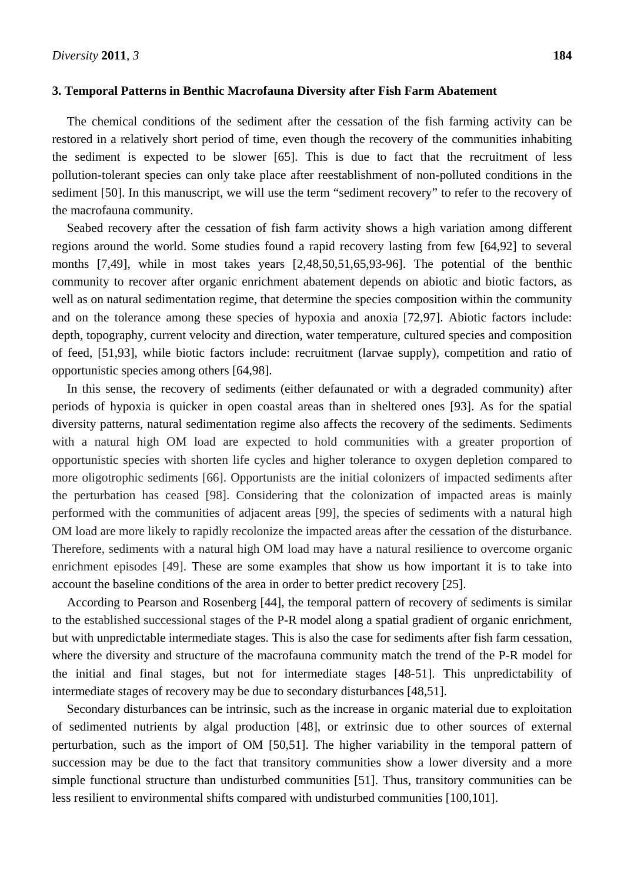#### **3. Temporal Patterns in Benthic Macrofauna Diversity after Fish Farm Abatement**

The chemical conditions of the sediment after the cessation of the fish farming activity can be restored in a relatively short period of time, even though the recovery of the communities inhabiting the sediment is expected to be slower [65]. This is due to fact that the recruitment of less pollution-tolerant species can only take place after reestablishment of non-polluted conditions in the sediment [50]. In this manuscript, we will use the term "sediment recovery" to refer to the recovery of the macrofauna community.

Seabed recovery after the cessation of fish farm activity shows a high variation among different regions around the world. Some studies found a rapid recovery lasting from few [64,92] to several months [7,49], while in most takes years [2,48,50,51,65,93-96]. The potential of the benthic community to recover after organic enrichment abatement depends on abiotic and biotic factors, as well as on natural sedimentation regime, that determine the species composition within the community and on the tolerance among these species of hypoxia and anoxia [72,97]. Abiotic factors include: depth, topography, current velocity and direction, water temperature, cultured species and composition of feed, [51,93], while biotic factors include: recruitment (larvae supply), competition and ratio of opportunistic species among others [64,98].

In this sense, the recovery of sediments (either defaunated or with a degraded community) after periods of hypoxia is quicker in open coastal areas than in sheltered ones [93]. As for the spatial diversity patterns, natural sedimentation regime also affects the recovery of the sediments. Sediments with a natural high OM load are expected to hold communities with a greater proportion of opportunistic species with shorten life cycles and higher tolerance to oxygen depletion compared to more oligotrophic sediments [66]. Opportunists are the initial colonizers of impacted sediments after the perturbation has ceased [98]. Considering that the colonization of impacted areas is mainly performed with the communities of adjacent areas [99], the species of sediments with a natural high OM load are more likely to rapidly recolonize the impacted areas after the cessation of the disturbance. Therefore, sediments with a natural high OM load may have a natural resilience to overcome organic enrichment episodes [49]. These are some examples that show us how important it is to take into account the baseline conditions of the area in order to better predict recovery [25].

According to Pearson and Rosenberg [44], the temporal pattern of recovery of sediments is similar to the established successional stages of the P-R model along a spatial gradient of organic enrichment, but with unpredictable intermediate stages. This is also the case for sediments after fish farm cessation, where the diversity and structure of the macrofauna community match the trend of the P-R model for the initial and final stages, but not for intermediate stages [48-51]. This unpredictability of intermediate stages of recovery may be due to secondary disturbances [48,51].

Secondary disturbances can be intrinsic, such as the increase in organic material due to exploitation of sedimented nutrients by algal production [48], or extrinsic due to other sources of external perturbation, such as the import of OM [50,51]. The higher variability in the temporal pattern of succession may be due to the fact that transitory communities show a lower diversity and a more simple functional structure than undisturbed communities [51]. Thus, transitory communities can be less resilient to environmental shifts compared with undisturbed communities [100,101].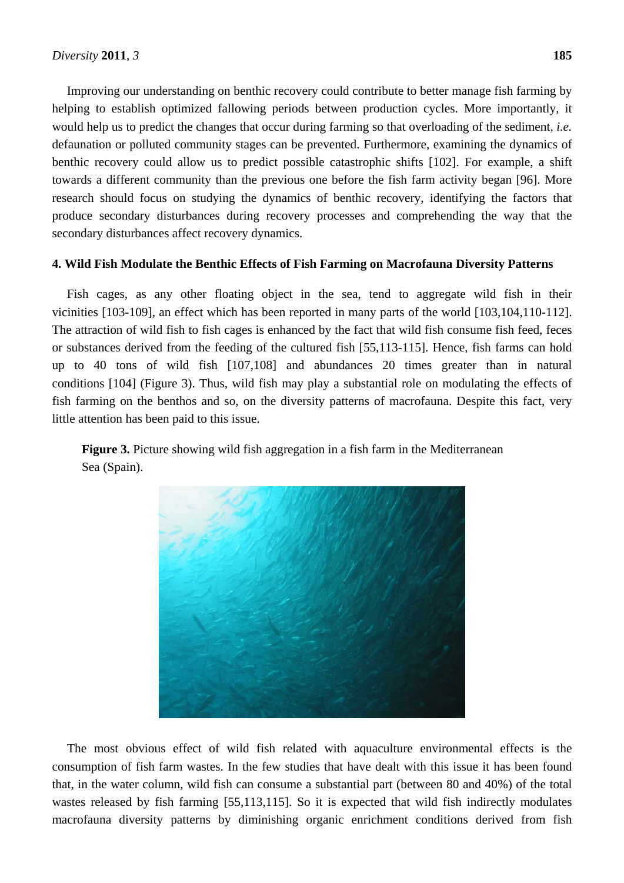Improving our understanding on benthic recovery could contribute to better manage fish farming by helping to establish optimized fallowing periods between production cycles. More importantly, it would help us to predict the changes that occur during farming so that overloading of the sediment, *i.e.* defaunation or polluted community stages can be prevented. Furthermore, examining the dynamics of benthic recovery could allow us to predict possible catastrophic shifts [102]. For example, a shift towards a different community than the previous one before the fish farm activity began [96]. More research should focus on studying the dynamics of benthic recovery, identifying the factors that produce secondary disturbances during recovery processes and comprehending the way that the secondary disturbances affect recovery dynamics.

#### **4. Wild Fish Modulate the Benthic Effects of Fish Farming on Macrofauna Diversity Patterns**

Fish cages, as any other floating object in the sea, tend to aggregate wild fish in their vicinities [103-109], an effect which has been reported in many parts of the world [103,104,110-112]. The attraction of wild fish to fish cages is enhanced by the fact that wild fish consume fish feed, feces or substances derived from the feeding of the cultured fish [55,113-115]. Hence, fish farms can hold up to 40 tons of wild fish [107,108] and abundances 20 times greater than in natural conditions [104] (Figure 3). Thus, wild fish may play a substantial role on modulating the effects of fish farming on the benthos and so, on the diversity patterns of macrofauna. Despite this fact, very little attention has been paid to this issue.

**Figure 3.** Picture showing wild fish aggregation in a fish farm in the Mediterranean Sea (Spain).



The most obvious effect of wild fish related with aquaculture environmental effects is the consumption of fish farm wastes. In the few studies that have dealt with this issue it has been found that, in the water column, wild fish can consume a substantial part (between 80 and 40%) of the total wastes released by fish farming [55,113,115]. So it is expected that wild fish indirectly modulates macrofauna diversity patterns by diminishing organic enrichment conditions derived from fish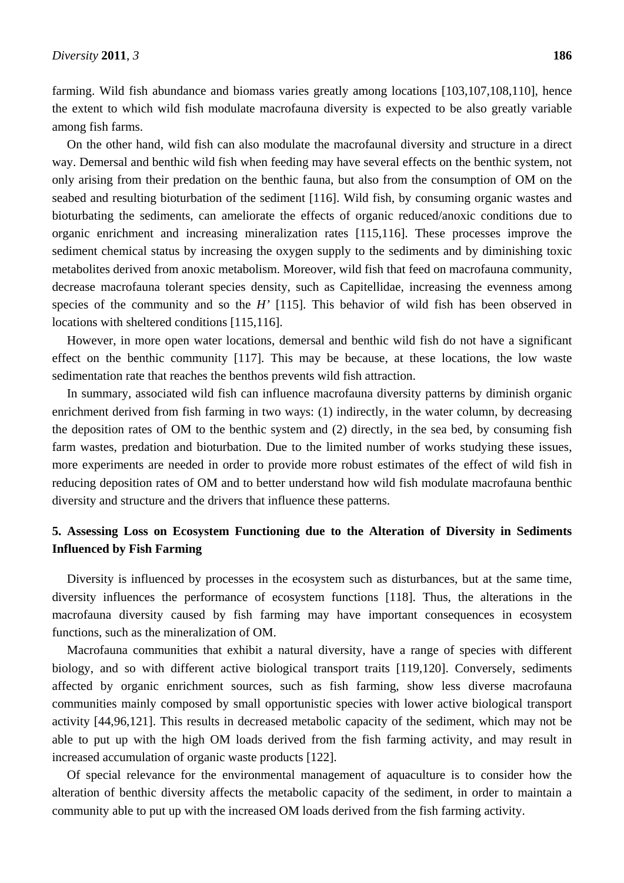farming. Wild fish abundance and biomass varies greatly among locations [103,107,108,110], hence the extent to which wild fish modulate macrofauna diversity is expected to be also greatly variable among fish farms.

On the other hand, wild fish can also modulate the macrofaunal diversity and structure in a direct way. Demersal and benthic wild fish when feeding may have several effects on the benthic system, not only arising from their predation on the benthic fauna, but also from the consumption of OM on the seabed and resulting bioturbation of the sediment [116]. Wild fish, by consuming organic wastes and bioturbating the sediments, can ameliorate the effects of organic reduced/anoxic conditions due to organic enrichment and increasing mineralization rates [115,116]. These processes improve the sediment chemical status by increasing the oxygen supply to the sediments and by diminishing toxic metabolites derived from anoxic metabolism. Moreover, wild fish that feed on macrofauna community, decrease macrofauna tolerant species density, such as Capitellidae, increasing the evenness among species of the community and so the *H'* [115]. This behavior of wild fish has been observed in locations with sheltered conditions [115,116].

However, in more open water locations, demersal and benthic wild fish do not have a significant effect on the benthic community [117]. This may be because, at these locations, the low waste sedimentation rate that reaches the benthos prevents wild fish attraction.

In summary, associated wild fish can influence macrofauna diversity patterns by diminish organic enrichment derived from fish farming in two ways: (1) indirectly, in the water column, by decreasing the deposition rates of OM to the benthic system and (2) directly, in the sea bed, by consuming fish farm wastes, predation and bioturbation. Due to the limited number of works studying these issues, more experiments are needed in order to provide more robust estimates of the effect of wild fish in reducing deposition rates of OM and to better understand how wild fish modulate macrofauna benthic diversity and structure and the drivers that influence these patterns.

## **5. Assessing Loss on Ecosystem Functioning due to the Alteration of Diversity in Sediments Influenced by Fish Farming**

Diversity is influenced by processes in the ecosystem such as disturbances, but at the same time, diversity influences the performance of ecosystem functions [118]. Thus, the alterations in the macrofauna diversity caused by fish farming may have important consequences in ecosystem functions, such as the mineralization of OM.

Macrofauna communities that exhibit a natural diversity, have a range of species with different biology, and so with different active biological transport traits [119,120]. Conversely, sediments affected by organic enrichment sources, such as fish farming, show less diverse macrofauna communities mainly composed by small opportunistic species with lower active biological transport activity [44,96,121]. This results in decreased metabolic capacity of the sediment, which may not be able to put up with the high OM loads derived from the fish farming activity, and may result in increased accumulation of organic waste products [122].

Of special relevance for the environmental management of aquaculture is to consider how the alteration of benthic diversity affects the metabolic capacity of the sediment, in order to maintain a community able to put up with the increased OM loads derived from the fish farming activity.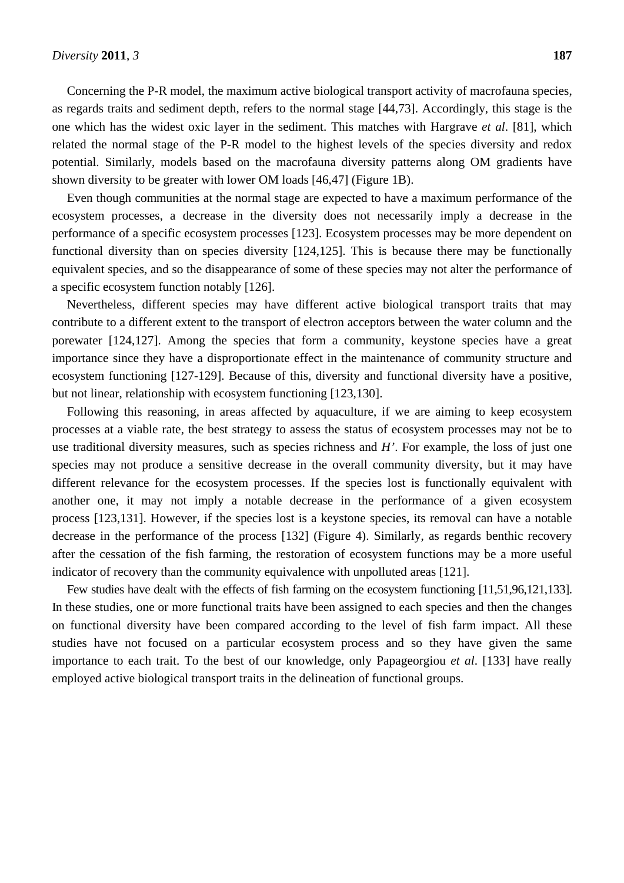Concerning the P-R model, the maximum active biological transport activity of macrofauna species, as regards traits and sediment depth, refers to the normal stage [44,73]. Accordingly, this stage is the one which has the widest oxic layer in the sediment. This matches with Hargrave *et al*. [81], which related the normal stage of the P-R model to the highest levels of the species diversity and redox potential. Similarly, models based on the macrofauna diversity patterns along OM gradients have shown diversity to be greater with lower OM loads [46,47] (Figure 1B).

Even though communities at the normal stage are expected to have a maximum performance of the ecosystem processes, a decrease in the diversity does not necessarily imply a decrease in the performance of a specific ecosystem processes [123]. Ecosystem processes may be more dependent on functional diversity than on species diversity [124,125]. This is because there may be functionally equivalent species, and so the disappearance of some of these species may not alter the performance of a specific ecosystem function notably [126].

Nevertheless, different species may have different active biological transport traits that may contribute to a different extent to the transport of electron acceptors between the water column and the porewater [124,127]. Among the species that form a community, keystone species have a great importance since they have a disproportionate effect in the maintenance of community structure and ecosystem functioning [127-129]. Because of this, diversity and functional diversity have a positive, but not linear, relationship with ecosystem functioning [123,130].

Following this reasoning, in areas affected by aquaculture, if we are aiming to keep ecosystem processes at a viable rate, the best strategy to assess the status of ecosystem processes may not be to use traditional diversity measures, such as species richness and *H'*. For example, the loss of just one species may not produce a sensitive decrease in the overall community diversity, but it may have different relevance for the ecosystem processes. If the species lost is functionally equivalent with another one, it may not imply a notable decrease in the performance of a given ecosystem process [123,131]. However, if the species lost is a keystone species, its removal can have a notable decrease in the performance of the process [132] (Figure 4). Similarly, as regards benthic recovery after the cessation of the fish farming, the restoration of ecosystem functions may be a more useful indicator of recovery than the community equivalence with unpolluted areas [121].

Few studies have dealt with the effects of fish farming on the ecosystem functioning [11,51,96,121,133]. In these studies, one or more functional traits have been assigned to each species and then the changes on functional diversity have been compared according to the level of fish farm impact. All these studies have not focused on a particular ecosystem process and so they have given the same importance to each trait. To the best of our knowledge, only Papageorgiou *et al*. [133] have really employed active biological transport traits in the delineation of functional groups.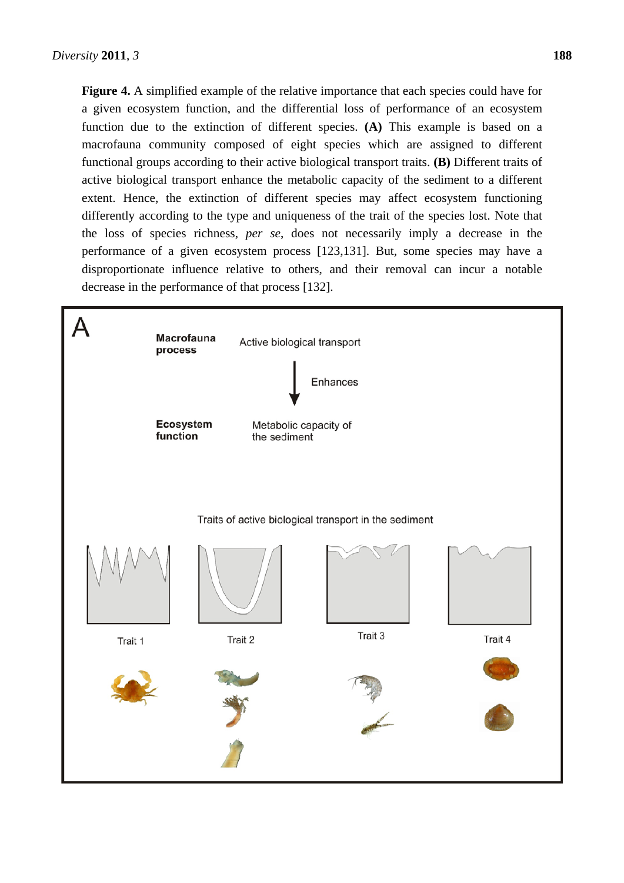**Figure 4.** A simplified example of the relative importance that each species could have for a given ecosystem function, and the differential loss of performance of an ecosystem function due to the extinction of different species. **(A)** This example is based on a macrofauna community composed of eight species which are assigned to different functional groups according to their active biological transport traits. **(B)** Different traits of active biological transport enhance the metabolic capacity of the sediment to a different extent. Hence, the extinction of different species may affect ecosystem functioning differently according to the type and uniqueness of the trait of the species lost. Note that the loss of species richness, *per se*, does not necessarily imply a decrease in the performance of a given ecosystem process [123,131]. But, some species may have a disproportionate influence relative to others, and their removal can incur a notable decrease in the performance of that process [132].

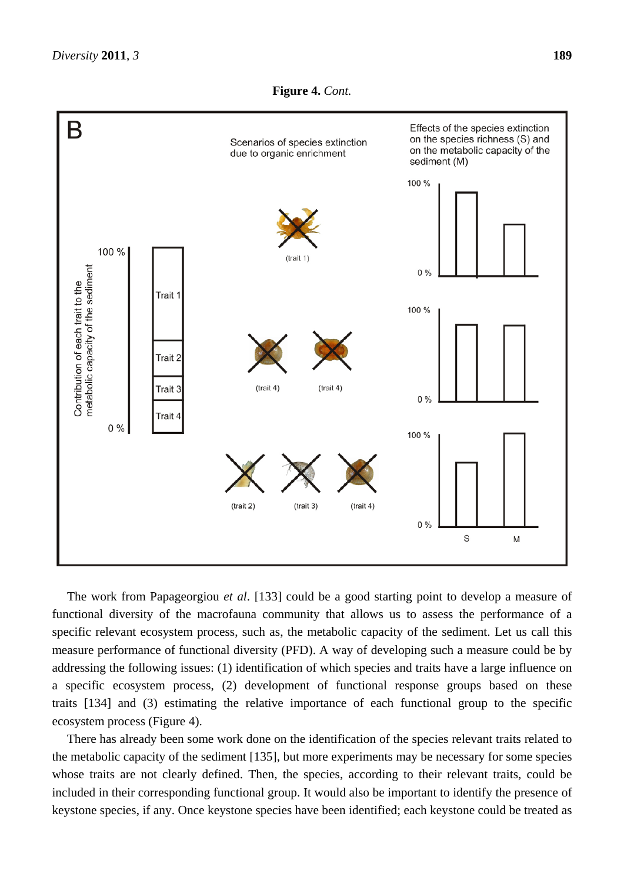**Figure 4.** *Cont.*



The work from Papageorgiou *et al*. [133] could be a good starting point to develop a measure of functional diversity of the macrofauna community that allows us to assess the performance of a specific relevant ecosystem process, such as, the metabolic capacity of the sediment. Let us call this measure performance of functional diversity (PFD). A way of developing such a measure could be by addressing the following issues: (1) identification of which species and traits have a large influence on a specific ecosystem process, (2) development of functional response groups based on these traits [134] and (3) estimating the relative importance of each functional group to the specific ecosystem process (Figure 4).

There has already been some work done on the identification of the species relevant traits related to the metabolic capacity of the sediment [135], but more experiments may be necessary for some species whose traits are not clearly defined. Then, the species, according to their relevant traits, could be included in their corresponding functional group. It would also be important to identify the presence of keystone species, if any. Once keystone species have been identified; each keystone could be treated as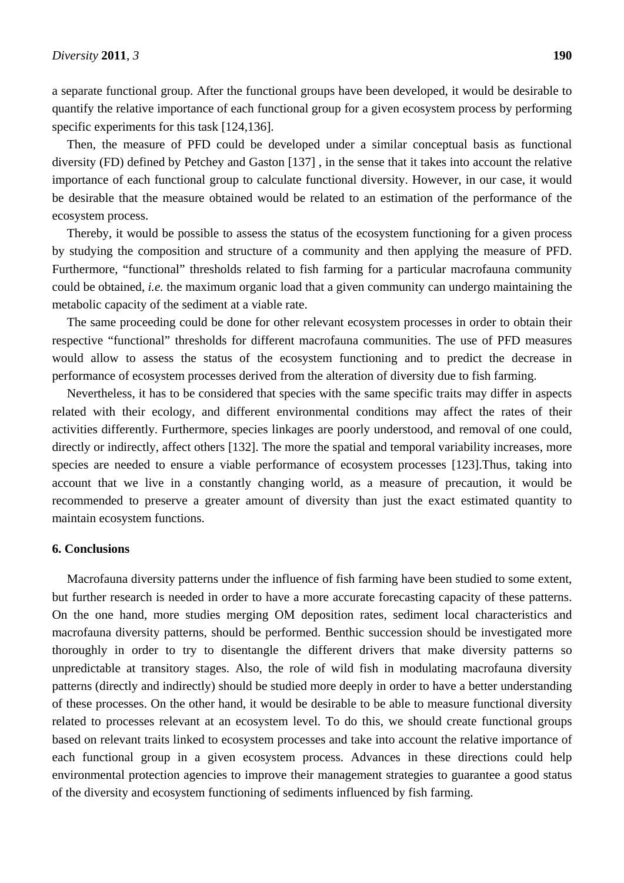a separate functional group. After the functional groups have been developed, it would be desirable to quantify the relative importance of each functional group for a given ecosystem process by performing specific experiments for this task [124,136].

Then, the measure of PFD could be developed under a similar conceptual basis as functional diversity (FD) defined by Petchey and Gaston [137] , in the sense that it takes into account the relative importance of each functional group to calculate functional diversity. However, in our case, it would be desirable that the measure obtained would be related to an estimation of the performance of the ecosystem process.

Thereby, it would be possible to assess the status of the ecosystem functioning for a given process by studying the composition and structure of a community and then applying the measure of PFD. Furthermore, "functional" thresholds related to fish farming for a particular macrofauna community could be obtained, *i.e.* the maximum organic load that a given community can undergo maintaining the metabolic capacity of the sediment at a viable rate.

The same proceeding could be done for other relevant ecosystem processes in order to obtain their respective "functional" thresholds for different macrofauna communities. The use of PFD measures would allow to assess the status of the ecosystem functioning and to predict the decrease in performance of ecosystem processes derived from the alteration of diversity due to fish farming.

Nevertheless, it has to be considered that species with the same specific traits may differ in aspects related with their ecology, and different environmental conditions may affect the rates of their activities differently. Furthermore, species linkages are poorly understood, and removal of one could, directly or indirectly, affect others [132]. The more the spatial and temporal variability increases, more species are needed to ensure a viable performance of ecosystem processes [123].Thus, taking into account that we live in a constantly changing world, as a measure of precaution, it would be recommended to preserve a greater amount of diversity than just the exact estimated quantity to maintain ecosystem functions.

### **6. Conclusions**

Macrofauna diversity patterns under the influence of fish farming have been studied to some extent, but further research is needed in order to have a more accurate forecasting capacity of these patterns. On the one hand, more studies merging OM deposition rates, sediment local characteristics and macrofauna diversity patterns, should be performed. Benthic succession should be investigated more thoroughly in order to try to disentangle the different drivers that make diversity patterns so unpredictable at transitory stages. Also, the role of wild fish in modulating macrofauna diversity patterns (directly and indirectly) should be studied more deeply in order to have a better understanding of these processes. On the other hand, it would be desirable to be able to measure functional diversity related to processes relevant at an ecosystem level. To do this, we should create functional groups based on relevant traits linked to ecosystem processes and take into account the relative importance of each functional group in a given ecosystem process. Advances in these directions could help environmental protection agencies to improve their management strategies to guarantee a good status of the diversity and ecosystem functioning of sediments influenced by fish farming.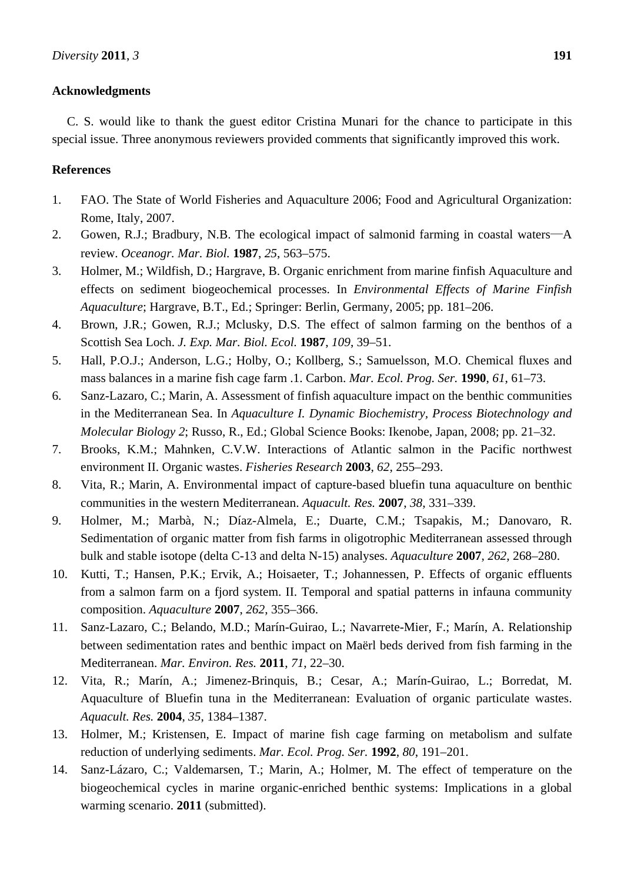#### **Acknowledgments**

C. S. would like to thank the guest editor Cristina Munari for the chance to participate in this special issue. Three anonymous reviewers provided comments that significantly improved this work.

### **References**

- 1. FAO. The State of World Fisheries and Aquaculture 2006; Food and Agricultural Organization: Rome, Italy, 2007.
- 2. Gowen, R.J.; Bradbury, N.B. The ecological impact of salmonid farming in coastal waters—A review. *Oceanogr. Mar. Biol.* **1987**, *25*, 563–575.
- 3. Holmer, M.; Wildfish, D.; Hargrave, B. Organic enrichment from marine finfish Aquaculture and effects on sediment biogeochemical processes. In *Environmental Effects of Marine Finfish Aquaculture*; Hargrave, B.T., Ed.; Springer: Berlin, Germany, 2005; pp. 181–206.
- 4. Brown, J.R.; Gowen, R.J.; Mclusky, D.S. The effect of salmon farming on the benthos of a Scottish Sea Loch. *J. Exp. Mar. Biol. Ecol.* **1987**, *109*, 39–51.
- 5. Hall, P.O.J.; Anderson, L.G.; Holby, O.; Kollberg, S.; Samuelsson, M.O. Chemical fluxes and mass balances in a marine fish cage farm .1. Carbon. *Mar. Ecol. Prog. Ser.* **1990**, *61*, 61–73.
- 6. Sanz-Lazaro, C.; Marin, A. Assessment of finfish aquaculture impact on the benthic communities in the Mediterranean Sea. In *Aquaculture I. Dynamic Biochemistry, Process Biotechnology and Molecular Biology 2*; Russo, R., Ed.; Global Science Books: Ikenobe, Japan, 2008; pp. 21–32.
- 7. Brooks, K.M.; Mahnken, C.V.W. Interactions of Atlantic salmon in the Pacific northwest environment II. Organic wastes. *Fisheries Research* **2003**, *62*, 255–293.
- 8. Vita, R.; Marin, A. Environmental impact of capture-based bluefin tuna aquaculture on benthic communities in the western Mediterranean. *Aquacult. Res.* **2007**, *38*, 331–339.
- 9. Holmer, M.; Marbà, N.; Díaz-Almela, E.; Duarte, C.M.; Tsapakis, M.; Danovaro, R. Sedimentation of organic matter from fish farms in oligotrophic Mediterranean assessed through bulk and stable isotope (delta C-13 and delta N-15) analyses. *Aquaculture* **2007**, *262*, 268–280.
- 10. Kutti, T.; Hansen, P.K.; Ervik, A.; Hoisaeter, T.; Johannessen, P. Effects of organic effluents from a salmon farm on a fjord system. II. Temporal and spatial patterns in infauna community composition. *Aquaculture* **2007**, *262*, 355–366.
- 11. Sanz-Lazaro, C.; Belando, M.D.; Marín-Guirao, L.; Navarrete-Mier, F.; Marín, A. Relationship between sedimentation rates and benthic impact on Maërl beds derived from fish farming in the Mediterranean. *Mar. Environ. Res.* **2011**, *71*, 22–30.
- 12. Vita, R.; Marín, A.; Jimenez-Brinquis, B.; Cesar, A.; Marín-Guirao, L.; Borredat, M. Aquaculture of Bluefin tuna in the Mediterranean: Evaluation of organic particulate wastes. *Aquacult. Res.* **2004**, *35*, 1384–1387.
- 13. Holmer, M.; Kristensen, E. Impact of marine fish cage farming on metabolism and sulfate reduction of underlying sediments. *Mar. Ecol. Prog. Ser.* **1992**, *80*, 191–201.
- 14. Sanz-Lázaro, C.; Valdemarsen, T.; Marin, A.; Holmer, M. The effect of temperature on the biogeochemical cycles in marine organic-enriched benthic systems: Implications in a global warming scenario. **2011** (submitted).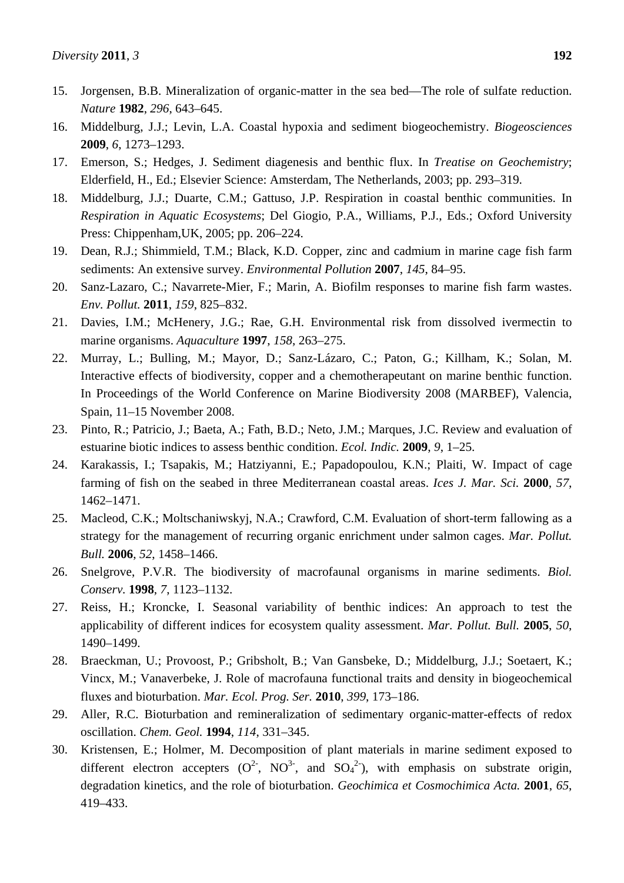- 15. Jorgensen, B.B. Mineralization of organic-matter in the sea bed—The role of sulfate reduction. *Nature* **1982**, *296*, 643–645.
- 16. Middelburg, J.J.; Levin, L.A. Coastal hypoxia and sediment biogeochemistry. *Biogeosciences* **2009**, *6*, 1273–1293.
- 17. Emerson, S.; Hedges, J. Sediment diagenesis and benthic flux. In *Treatise on Geochemistry*; Elderfield, H., Ed.; Elsevier Science: Amsterdam, The Netherlands, 2003; pp. 293–319.
- 18. Middelburg, J.J.; Duarte, C.M.; Gattuso, J.P. Respiration in coastal benthic communities. In *Respiration in Aquatic Ecosystems*; Del Giogio, P.A., Williams, P.J., Eds.; Oxford University Press: Chippenham,UK, 2005; pp. 206–224.
- 19. Dean, R.J.; Shimmield, T.M.; Black, K.D. Copper, zinc and cadmium in marine cage fish farm sediments: An extensive survey. *Environmental Pollution* **2007**, *145*, 84–95.
- 20. Sanz-Lazaro, C.; Navarrete-Mier, F.; Marin, A. Biofilm responses to marine fish farm wastes. *Env. Pollut.* **2011**, *159*, 825–832.
- 21. Davies, I.M.; McHenery, J.G.; Rae, G.H. Environmental risk from dissolved ivermectin to marine organisms. *Aquaculture* **1997**, *158*, 263–275.
- 22. Murray, L.; Bulling, M.; Mayor, D.; Sanz-Lázaro, C.; Paton, G.; Killham, K.; Solan, M. Interactive effects of biodiversity, copper and a chemotherapeutant on marine benthic function. In Proceedings of the World Conference on Marine Biodiversity 2008 (MARBEF), Valencia, Spain, 11–15 November 2008.
- 23. Pinto, R.; Patricio, J.; Baeta, A.; Fath, B.D.; Neto, J.M.; Marques, J.C. Review and evaluation of estuarine biotic indices to assess benthic condition. *Ecol. Indic.* **2009**, *9*, 1–25.
- 24. Karakassis, I.; Tsapakis, M.; Hatziyanni, E.; Papadopoulou, K.N.; Plaiti, W. Impact of cage farming of fish on the seabed in three Mediterranean coastal areas. *Ices J. Mar. Sci.* **2000**, *57*, 1462–1471.
- 25. Macleod, C.K.; Moltschaniwskyj, N.A.; Crawford, C.M. Evaluation of short-term fallowing as a strategy for the management of recurring organic enrichment under salmon cages. *Mar. Pollut. Bull.* **2006**, *52*, 1458–1466.
- 26. Snelgrove, P.V.R. The biodiversity of macrofaunal organisms in marine sediments. *Biol. Conserv.* **1998**, *7*, 1123–1132.
- 27. Reiss, H.; Kroncke, I. Seasonal variability of benthic indices: An approach to test the applicability of different indices for ecosystem quality assessment. *Mar. Pollut. Bull.* **2005**, *50*, 1490–1499.
- 28. Braeckman, U.; Provoost, P.; Gribsholt, B.; Van Gansbeke, D.; Middelburg, J.J.; Soetaert, K.; Vincx, M.; Vanaverbeke, J. Role of macrofauna functional traits and density in biogeochemical fluxes and bioturbation. *Mar. Ecol. Prog. Ser.* **2010**, *399*, 173–186.
- 29. Aller, R.C. Bioturbation and remineralization of sedimentary organic-matter-effects of redox oscillation. *Chem. Geol.* **1994**, *114*, 331–345.
- 30. Kristensen, E.; Holmer, M. Decomposition of plant materials in marine sediment exposed to different electron accepters  $(O^2, NO^3, and SO_4^2)$ , with emphasis on substrate origin, degradation kinetics, and the role of bioturbation. *Geochimica et Cosmochimica Acta.* **2001**, *65*, 419–433.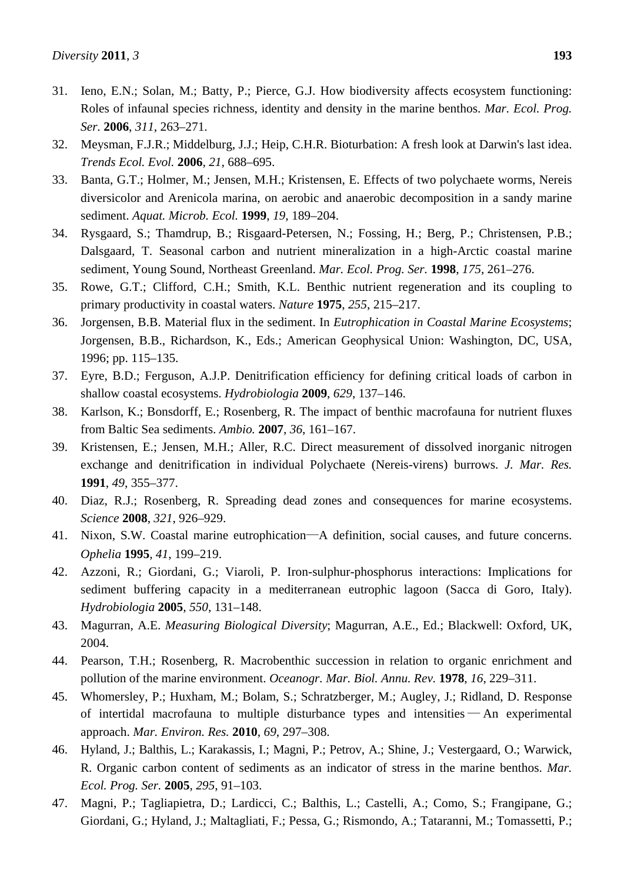- 31. Ieno, E.N.; Solan, M.; Batty, P.; Pierce, G.J. How biodiversity affects ecosystem functioning: Roles of infaunal species richness, identity and density in the marine benthos. *Mar. Ecol. Prog. Ser.* **2006**, *311*, 263–271.
- 32. Meysman, F.J.R.; Middelburg, J.J.; Heip, C.H.R. Bioturbation: A fresh look at Darwin's last idea. *Trends Ecol. Evol.* **2006**, *21*, 688–695.
- 33. Banta, G.T.; Holmer, M.; Jensen, M.H.; Kristensen, E. Effects of two polychaete worms, Nereis diversicolor and Arenicola marina, on aerobic and anaerobic decomposition in a sandy marine sediment. *Aquat. Microb. Ecol.* **1999**, *19*, 189–204.
- 34. Rysgaard, S.; Thamdrup, B.; Risgaard-Petersen, N.; Fossing, H.; Berg, P.; Christensen, P.B.; Dalsgaard, T. Seasonal carbon and nutrient mineralization in a high-Arctic coastal marine sediment, Young Sound, Northeast Greenland. *Mar. Ecol. Prog. Ser.* **1998**, *175*, 261–276.
- 35. Rowe, G.T.; Clifford, C.H.; Smith, K.L. Benthic nutrient regeneration and its coupling to primary productivity in coastal waters. *Nature* **1975**, *255*, 215–217.
- 36. Jorgensen, B.B. Material flux in the sediment. In *Eutrophication in Coastal Marine Ecosystems*; Jorgensen, B.B., Richardson, K., Eds.; American Geophysical Union: Washington, DC, USA, 1996; pp. 115–135.
- 37. Eyre, B.D.; Ferguson, A.J.P. Denitrification efficiency for defining critical loads of carbon in shallow coastal ecosystems. *Hydrobiologia* **2009**, *629*, 137–146.
- 38. Karlson, K.; Bonsdorff, E.; Rosenberg, R. The impact of benthic macrofauna for nutrient fluxes from Baltic Sea sediments. *Ambio.* **2007**, *36*, 161–167.
- 39. Kristensen, E.; Jensen, M.H.; Aller, R.C. Direct measurement of dissolved inorganic nitrogen exchange and denitrification in individual Polychaete (Nereis-virens) burrows. *J. Mar. Res.* **1991**, *49*, 355–377.
- 40. Diaz, R.J.; Rosenberg, R. Spreading dead zones and consequences for marine ecosystems. *Science* **2008**, *321*, 926–929.
- 41. Nixon, S.W. Coastal marine eutrophication—A definition, social causes, and future concerns. *Ophelia* **1995**, *41*, 199–219.
- 42. Azzoni, R.; Giordani, G.; Viaroli, P. Iron-sulphur-phosphorus interactions: Implications for sediment buffering capacity in a mediterranean eutrophic lagoon (Sacca di Goro, Italy). *Hydrobiologia* **2005**, *550*, 131–148.
- 43. Magurran, A.E. *Measuring Biological Diversity*; Magurran, A.E., Ed.; Blackwell: Oxford, UK, 2004.
- 44. Pearson, T.H.; Rosenberg, R. Macrobenthic succession in relation to organic enrichment and pollution of the marine environment. *Oceanogr. Mar. Biol. Annu. Rev.* **1978**, *16*, 229–311.
- 45. Whomersley, P.; Huxham, M.; Bolam, S.; Schratzberger, M.; Augley, J.; Ridland, D. Response of intertidal macrofauna to multiple disturbance types and intensities — An experimental approach. *Mar. Environ. Res.* **2010**, *69*, 297–308.
- 46. Hyland, J.; Balthis, L.; Karakassis, I.; Magni, P.; Petrov, A.; Shine, J.; Vestergaard, O.; Warwick, R. Organic carbon content of sediments as an indicator of stress in the marine benthos. *Mar. Ecol. Prog. Ser.* **2005**, *295*, 91–103.
- 47. Magni, P.; Tagliapietra, D.; Lardicci, C.; Balthis, L.; Castelli, A.; Como, S.; Frangipane, G.; Giordani, G.; Hyland, J.; Maltagliati, F.; Pessa, G.; Rismondo, A.; Tataranni, M.; Tomassetti, P.;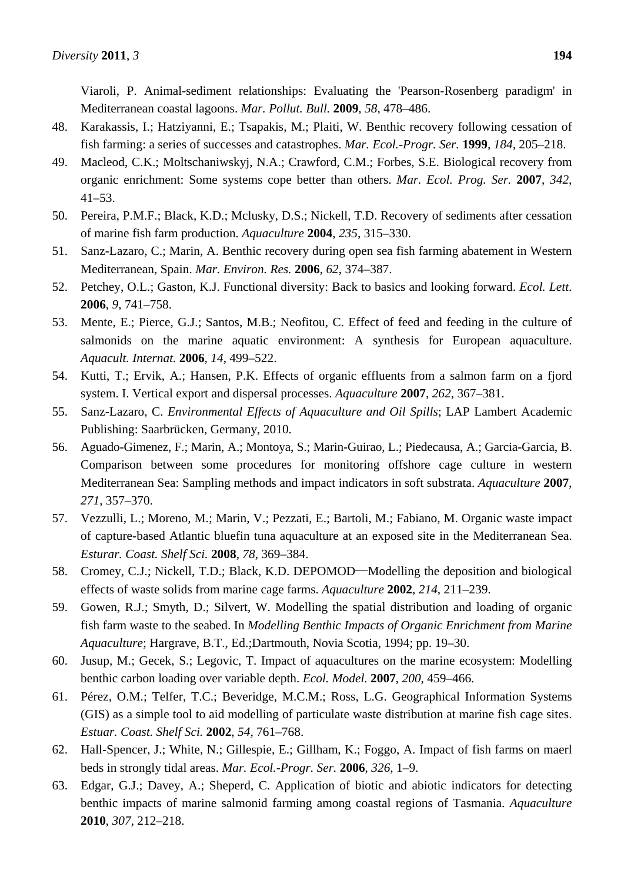Viaroli, P. Animal-sediment relationships: Evaluating the 'Pearson-Rosenberg paradigm' in Mediterranean coastal lagoons. *Mar. Pollut. Bull.* **2009**, *58*, 478–486.

- 48. Karakassis, I.; Hatziyanni, E.; Tsapakis, M.; Plaiti, W. Benthic recovery following cessation of fish farming: a series of successes and catastrophes. *Mar. Ecol.-Progr. Ser.* **1999**, *184*, 205–218.
- 49. Macleod, C.K.; Moltschaniwskyj, N.A.; Crawford, C.M.; Forbes, S.E. Biological recovery from organic enrichment: Some systems cope better than others. *Mar. Ecol. Prog. Ser.* **2007**, *342*, 41–53.
- 50. Pereira, P.M.F.; Black, K.D.; Mclusky, D.S.; Nickell, T.D. Recovery of sediments after cessation of marine fish farm production. *Aquaculture* **2004**, *235*, 315–330.
- 51. Sanz-Lazaro, C.; Marin, A. Benthic recovery during open sea fish farming abatement in Western Mediterranean, Spain. *Mar. Environ. Res.* **2006**, *62*, 374–387.
- 52. Petchey, O.L.; Gaston, K.J. Functional diversity: Back to basics and looking forward. *Ecol. Lett*. **2006**, *9*, 741–758.
- 53. Mente, E.; Pierce, G.J.; Santos, M.B.; Neofitou, C. Effect of feed and feeding in the culture of salmonids on the marine aquatic environment: A synthesis for European aquaculture. *Aquacult. Internat.* **2006**, *14*, 499–522.
- 54. Kutti, T.; Ervik, A.; Hansen, P.K. Effects of organic effluents from a salmon farm on a fjord system. I. Vertical export and dispersal processes. *Aquaculture* **2007**, *262*, 367–381.
- 55. Sanz-Lazaro, C. *Environmental Effects of Aquaculture and Oil Spills*; LAP Lambert Academic Publishing: Saarbrücken, Germany, 2010.
- 56. Aguado-Gimenez, F.; Marin, A.; Montoya, S.; Marin-Guirao, L.; Piedecausa, A.; Garcia-Garcia, B. Comparison between some procedures for monitoring offshore cage culture in western Mediterranean Sea: Sampling methods and impact indicators in soft substrata. *Aquaculture* **2007**, *271*, 357–370.
- 57. Vezzulli, L.; Moreno, M.; Marin, V.; Pezzati, E.; Bartoli, M.; Fabiano, M. Organic waste impact of capture-based Atlantic bluefin tuna aquaculture at an exposed site in the Mediterranean Sea. *Esturar. Coast. Shelf Sci.* **2008**, *78*, 369–384.
- 58. Cromey, C.J.; Nickell, T.D.; Black, K.D. DEPOMOD—Modelling the deposition and biological effects of waste solids from marine cage farms. *Aquaculture* **2002**, *214*, 211–239.
- 59. Gowen, R.J.; Smyth, D.; Silvert, W. Modelling the spatial distribution and loading of organic fish farm waste to the seabed. In *Modelling Benthic Impacts of Organic Enrichment from Marine Aquaculture*; Hargrave, B.T., Ed.;Dartmouth, Novia Scotia, 1994; pp. 19–30.
- 60. Jusup, M.; Gecek, S.; Legovic, T. Impact of aquacultures on the marine ecosystem: Modelling benthic carbon loading over variable depth. *Ecol. Model.* **2007**, *200*, 459–466.
- 61. Pérez, O.M.; Telfer, T.C.; Beveridge, M.C.M.; Ross, L.G. Geographical Information Systems (GIS) as a simple tool to aid modelling of particulate waste distribution at marine fish cage sites. *Estuar. Coast. Shelf Sci.* **2002**, *54*, 761–768.
- 62. Hall-Spencer, J.; White, N.; Gillespie, E.; Gillham, K.; Foggo, A. Impact of fish farms on maerl beds in strongly tidal areas. *Mar. Ecol.-Progr. Ser.* **2006**, *326*, 1–9.
- 63. Edgar, G.J.; Davey, A.; Sheperd, C. Application of biotic and abiotic indicators for detecting benthic impacts of marine salmonid farming among coastal regions of Tasmania. *Aquaculture* **2010**, *307*, 212–218.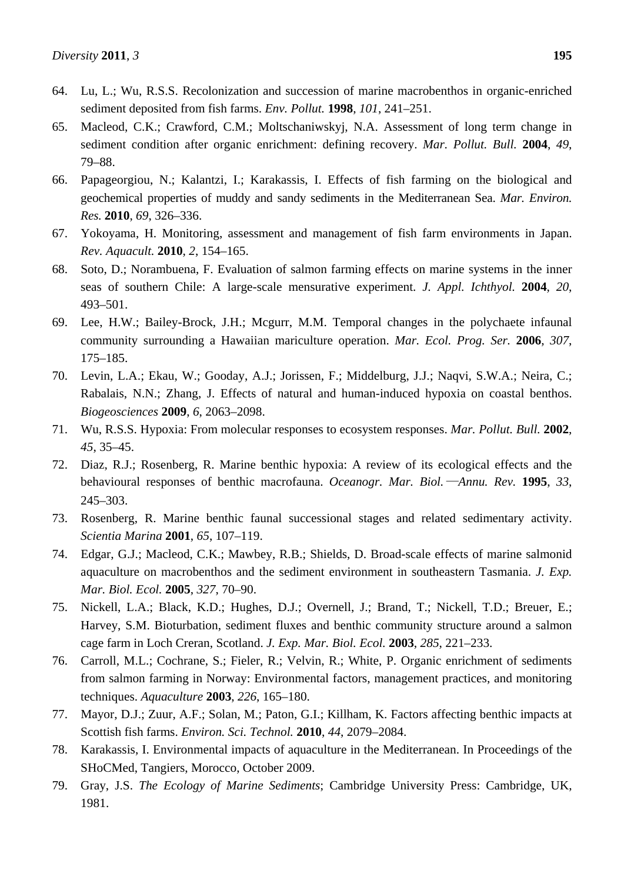- 65. Macleod, C.K.; Crawford, C.M.; Moltschaniwskyj, N.A. Assessment of long term change in sediment condition after organic enrichment: defining recovery. *Mar. Pollut. Bull.* **2004**, *49*, 79–88.
- 66. Papageorgiou, N.; Kalantzi, I.; Karakassis, I. Effects of fish farming on the biological and geochemical properties of muddy and sandy sediments in the Mediterranean Sea. *Mar. Environ. Res.* **2010**, *69*, 326–336.
- 67. Yokoyama, H. Monitoring, assessment and management of fish farm environments in Japan. *Rev. Aquacult.* **2010**, *2*, 154–165.
- 68. Soto, D.; Norambuena, F. Evaluation of salmon farming effects on marine systems in the inner seas of southern Chile: A large-scale mensurative experiment. *J. Appl. Ichthyol.* **2004**, *20*, 493–501.
- 69. Lee, H.W.; Bailey-Brock, J.H.; Mcgurr, M.M. Temporal changes in the polychaete infaunal community surrounding a Hawaiian mariculture operation. *Mar. Ecol. Prog. Ser.* **2006**, *307*, 175–185.
- 70. Levin, L.A.; Ekau, W.; Gooday, A.J.; Jorissen, F.; Middelburg, J.J.; Naqvi, S.W.A.; Neira, C.; Rabalais, N.N.; Zhang, J. Effects of natural and human-induced hypoxia on coastal benthos. *Biogeosciences* **2009**, *6*, 2063–2098.
- 71. Wu, R.S.S. Hypoxia: From molecular responses to ecosystem responses. *Mar. Pollut. Bull.* **2002**, *45*, 35–45.
- 72. Diaz, R.J.; Rosenberg, R. Marine benthic hypoxia: A review of its ecological effects and the behavioural responses of benthic macrofauna. *Oceanogr. Mar. Biol.*—*Annu. Rev.* **1995**, *33*, 245–303.
- 73. Rosenberg, R. Marine benthic faunal successional stages and related sedimentary activity. *Scientia Marina* **2001**, *65*, 107–119.
- 74. Edgar, G.J.; Macleod, C.K.; Mawbey, R.B.; Shields, D. Broad-scale effects of marine salmonid aquaculture on macrobenthos and the sediment environment in southeastern Tasmania. *J. Exp. Mar. Biol. Ecol.* **2005**, *327*, 70–90.
- 75. Nickell, L.A.; Black, K.D.; Hughes, D.J.; Overnell, J.; Brand, T.; Nickell, T.D.; Breuer, E.; Harvey, S.M. Bioturbation, sediment fluxes and benthic community structure around a salmon cage farm in Loch Creran, Scotland. *J. Exp. Mar. Biol. Ecol.* **2003**, *285*, 221–233.
- 76. Carroll, M.L.; Cochrane, S.; Fieler, R.; Velvin, R.; White, P. Organic enrichment of sediments from salmon farming in Norway: Environmental factors, management practices, and monitoring techniques. *Aquaculture* **2003**, *226*, 165–180.
- 77. Mayor, D.J.; Zuur, A.F.; Solan, M.; Paton, G.I.; Killham, K. Factors affecting benthic impacts at Scottish fish farms. *Environ. Sci. Technol.* **2010**, *44*, 2079–2084.
- 78. Karakassis, I. Environmental impacts of aquaculture in the Mediterranean. In Proceedings of the SHoCMed, Tangiers, Morocco, October 2009.
- 79. Gray, J.S. *The Ecology of Marine Sediments*; Cambridge University Press: Cambridge, UK, 1981.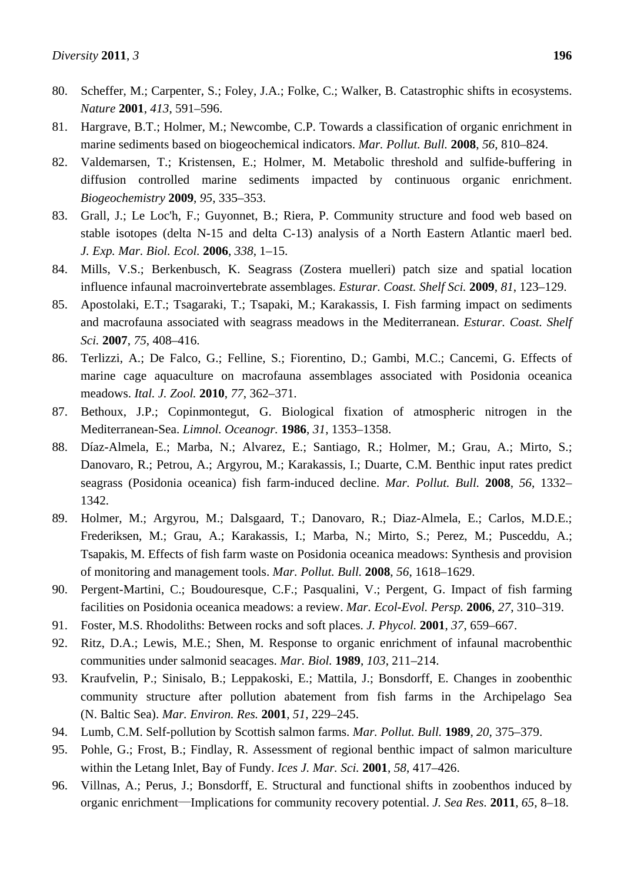- 80. Scheffer, M.; Carpenter, S.; Foley, J.A.; Folke, C.; Walker, B. Catastrophic shifts in ecosystems. *Nature* **2001**, *413*, 591–596.
- 81. Hargrave, B.T.; Holmer, M.; Newcombe, C.P. Towards a classification of organic enrichment in marine sediments based on biogeochemical indicators. *Mar. Pollut. Bull.* **2008**, *56*, 810–824.
- 82. Valdemarsen, T.; Kristensen, E.; Holmer, M. Metabolic threshold and sulfide-buffering in diffusion controlled marine sediments impacted by continuous organic enrichment. *Biogeochemistry* **2009**, *95*, 335–353.
- 83. Grall, J.; Le Loc'h, F.; Guyonnet, B.; Riera, P. Community structure and food web based on stable isotopes (delta N-15 and delta C-13) analysis of a North Eastern Atlantic maerl bed. *J. Exp. Mar. Biol. Ecol.* **2006**, *338*, 1–15.
- 84. Mills, V.S.; Berkenbusch, K. Seagrass (Zostera muelleri) patch size and spatial location influence infaunal macroinvertebrate assemblages. *Esturar. Coast. Shelf Sci.* **2009**, *81*, 123–129.
- 85. Apostolaki, E.T.; Tsagaraki, T.; Tsapaki, M.; Karakassis, I. Fish farming impact on sediments and macrofauna associated with seagrass meadows in the Mediterranean. *Esturar. Coast. Shelf Sci.* **2007**, *75*, 408–416.
- 86. Terlizzi, A.; De Falco, G.; Felline, S.; Fiorentino, D.; Gambi, M.C.; Cancemi, G. Effects of marine cage aquaculture on macrofauna assemblages associated with Posidonia oceanica meadows. *Ital. J. Zool.* **2010**, *77*, 362–371.
- 87. Bethoux, J.P.; Copinmontegut, G. Biological fixation of atmospheric nitrogen in the Mediterranean-Sea. *Limnol. Oceanogr.* **1986**, *31*, 1353–1358.
- 88. Díaz-Almela, E.; Marba, N.; Alvarez, E.; Santiago, R.; Holmer, M.; Grau, A.; Mirto, S.; Danovaro, R.; Petrou, A.; Argyrou, M.; Karakassis, I.; Duarte, C.M. Benthic input rates predict seagrass (Posidonia oceanica) fish farm-induced decline. *Mar. Pollut. Bull.* **2008**, *56*, 1332– 1342.
- 89. Holmer, M.; Argyrou, M.; Dalsgaard, T.; Danovaro, R.; Diaz-Almela, E.; Carlos, M.D.E.; Frederiksen, M.; Grau, A.; Karakassis, I.; Marba, N.; Mirto, S.; Perez, M.; Pusceddu, A.; Tsapakis, M. Effects of fish farm waste on Posidonia oceanica meadows: Synthesis and provision of monitoring and management tools. *Mar. Pollut. Bull.* **2008**, *56*, 1618–1629.
- 90. Pergent-Martini, C.; Boudouresque, C.F.; Pasqualini, V.; Pergent, G. Impact of fish farming facilities on Posidonia oceanica meadows: a review. *Mar. Ecol-Evol. Persp.* **2006**, *27*, 310–319.
- 91. Foster, M.S. Rhodoliths: Between rocks and soft places. *J. Phycol.* **2001**, *37*, 659–667.
- 92. Ritz, D.A.; Lewis, M.E.; Shen, M. Response to organic enrichment of infaunal macrobenthic communities under salmonid seacages. *Mar. Biol.* **1989**, *103*, 211–214.
- 93. Kraufvelin, P.; Sinisalo, B.; Leppakoski, E.; Mattila, J.; Bonsdorff, E. Changes in zoobenthic community structure after pollution abatement from fish farms in the Archipelago Sea (N. Baltic Sea). *Mar. Environ. Res.* **2001**, *51*, 229–245.
- 94. Lumb, C.M. Self-pollution by Scottish salmon farms. *Mar. Pollut. Bull.* **1989**, *20*, 375–379.
- 95. Pohle, G.; Frost, B.; Findlay, R. Assessment of regional benthic impact of salmon mariculture within the Letang Inlet, Bay of Fundy. *Ices J. Mar. Sci.* **2001**, *58*, 417–426.
- 96. Villnas, A.; Perus, J.; Bonsdorff, E. Structural and functional shifts in zoobenthos induced by organic enrichment—Implications for community recovery potential. *J. Sea Res.* **2011**, *65*, 8–18.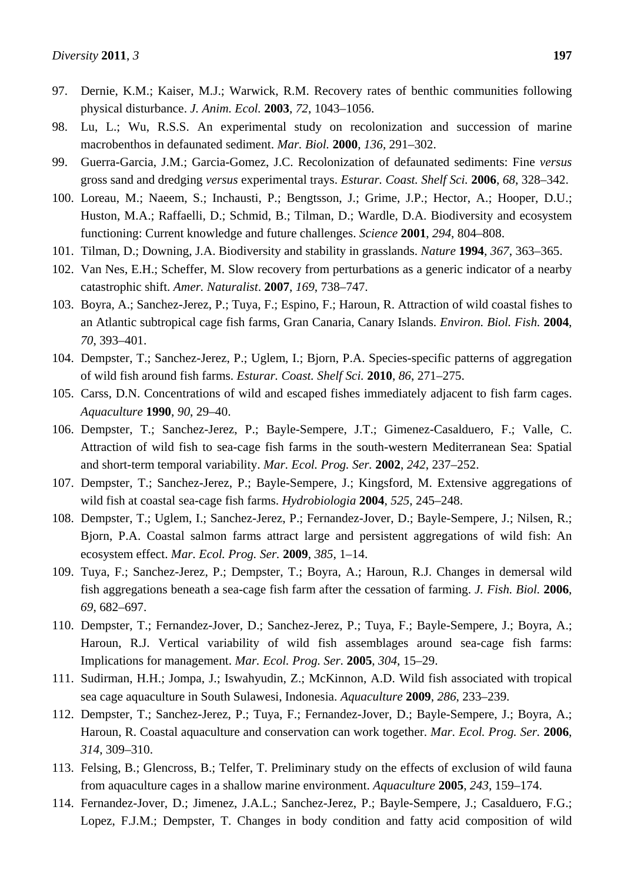- 97. Dernie, K.M.; Kaiser, M.J.; Warwick, R.M. Recovery rates of benthic communities following physical disturbance. *J. Anim. Ecol.* **2003**, *72*, 1043–1056.
- 98. Lu, L.; Wu, R.S.S. An experimental study on recolonization and succession of marine macrobenthos in defaunated sediment. *Mar. Biol.* **2000**, *136*, 291–302.
- 99. Guerra-Garcia, J.M.; Garcia-Gomez, J.C. Recolonization of defaunated sediments: Fine *versus* gross sand and dredging *versus* experimental trays. *Esturar. Coast. Shelf Sci.* **2006**, *68*, 328–342.
- 100. Loreau, M.; Naeem, S.; Inchausti, P.; Bengtsson, J.; Grime, J.P.; Hector, A.; Hooper, D.U.; Huston, M.A.; Raffaelli, D.; Schmid, B.; Tilman, D.; Wardle, D.A. Biodiversity and ecosystem functioning: Current knowledge and future challenges. *Science* **2001**, *294*, 804–808.
- 101. Tilman, D.; Downing, J.A. Biodiversity and stability in grasslands. *Nature* **1994**, *367*, 363–365.
- 102. Van Nes, E.H.; Scheffer, M. Slow recovery from perturbations as a generic indicator of a nearby catastrophic shift. *Amer. Naturalist*. **2007**, *169*, 738–747.
- 103. Boyra, A.; Sanchez-Jerez, P.; Tuya, F.; Espino, F.; Haroun, R. Attraction of wild coastal fishes to an Atlantic subtropical cage fish farms, Gran Canaria, Canary Islands. *Environ. Biol. Fish.* **2004**, *70*, 393–401.
- 104. Dempster, T.; Sanchez-Jerez, P.; Uglem, I.; Bjorn, P.A. Species-specific patterns of aggregation of wild fish around fish farms. *Esturar. Coast. Shelf Sci.* **2010**, *86*, 271–275.
- 105. Carss, D.N. Concentrations of wild and escaped fishes immediately adjacent to fish farm cages. *Aquaculture* **1990**, *90*, 29–40.
- 106. Dempster, T.; Sanchez-Jerez, P.; Bayle-Sempere, J.T.; Gimenez-Casalduero, F.; Valle, C. Attraction of wild fish to sea-cage fish farms in the south-western Mediterranean Sea: Spatial and short-term temporal variability. *Mar. Ecol. Prog. Ser.* **2002**, *242*, 237–252.
- 107. Dempster, T.; Sanchez-Jerez, P.; Bayle-Sempere, J.; Kingsford, M. Extensive aggregations of wild fish at coastal sea-cage fish farms. *Hydrobiologia* **2004**, *525*, 245–248.
- 108. Dempster, T.; Uglem, I.; Sanchez-Jerez, P.; Fernandez-Jover, D.; Bayle-Sempere, J.; Nilsen, R.; Bjorn, P.A. Coastal salmon farms attract large and persistent aggregations of wild fish: An ecosystem effect. *Mar. Ecol. Prog. Ser.* **2009**, *385*, 1–14.
- 109. Tuya, F.; Sanchez-Jerez, P.; Dempster, T.; Boyra, A.; Haroun, R.J. Changes in demersal wild fish aggregations beneath a sea-cage fish farm after the cessation of farming. *J. Fish. Biol.* **2006**, *69*, 682–697.
- 110. Dempster, T.; Fernandez-Jover, D.; Sanchez-Jerez, P.; Tuya, F.; Bayle-Sempere, J.; Boyra, A.; Haroun, R.J. Vertical variability of wild fish assemblages around sea-cage fish farms: Implications for management. *Mar. Ecol. Prog. Ser.* **2005**, *304*, 15–29.
- 111. Sudirman, H.H.; Jompa, J.; Iswahyudin, Z.; McKinnon, A.D. Wild fish associated with tropical sea cage aquaculture in South Sulawesi, Indonesia. *Aquaculture* **2009**, *286*, 233–239.
- 112. Dempster, T.; Sanchez-Jerez, P.; Tuya, F.; Fernandez-Jover, D.; Bayle-Sempere, J.; Boyra, A.; Haroun, R. Coastal aquaculture and conservation can work together. *Mar. Ecol. Prog. Ser.* **2006**, *314*, 309–310.
- 113. Felsing, B.; Glencross, B.; Telfer, T. Preliminary study on the effects of exclusion of wild fauna from aquaculture cages in a shallow marine environment. *Aquaculture* **2005**, *243*, 159–174.
- 114. Fernandez-Jover, D.; Jimenez, J.A.L.; Sanchez-Jerez, P.; Bayle-Sempere, J.; Casalduero, F.G.; Lopez, F.J.M.; Dempster, T. Changes in body condition and fatty acid composition of wild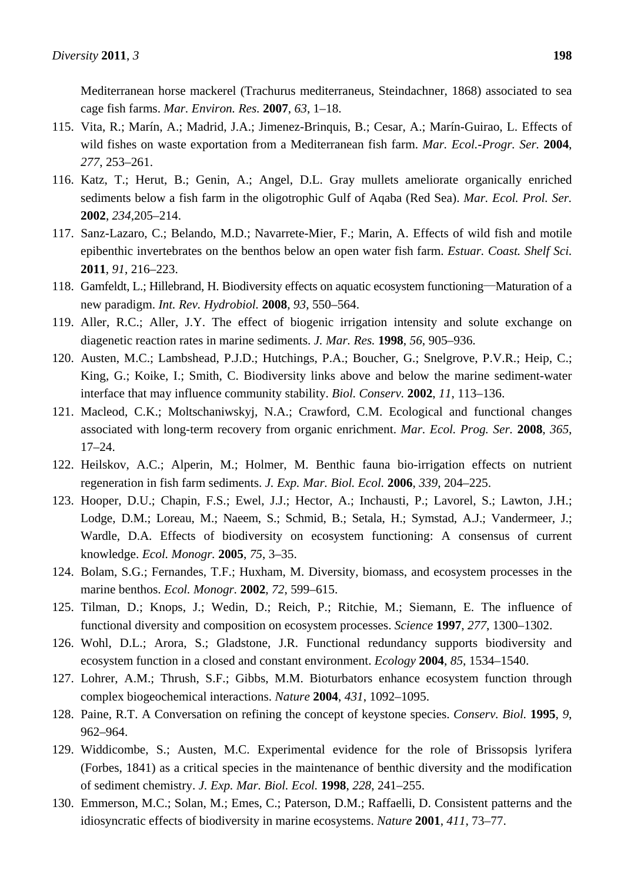Mediterranean horse mackerel (Trachurus mediterraneus, Steindachner, 1868) associated to sea cage fish farms. *Mar. Environ. Res.* **2007**, *63*, 1–18.

- 115. Vita, R.; Marín, A.; Madrid, J.A.; Jimenez-Brinquis, B.; Cesar, A.; Marín-Guirao, L. Effects of wild fishes on waste exportation from a Mediterranean fish farm. *Mar. Ecol.-Progr. Ser.* **2004**, *277*, 253–261.
- 116. Katz, T.; Herut, B.; Genin, A.; Angel, D.L. Gray mullets ameliorate organically enriched sediments below a fish farm in the oligotrophic Gulf of Aqaba (Red Sea). *Mar. Ecol. Prol. Ser.*  **2002**, *234,*205–214.
- 117. Sanz-Lazaro, C.; Belando, M.D.; Navarrete-Mier, F.; Marin, A. Effects of wild fish and motile epibenthic invertebrates on the benthos below an open water fish farm. *Estuar. Coast. Shelf Sci.*  **2011**, *91*, 216–223.
- 118. Gamfeldt, L.; Hillebrand, H. Biodiversity effects on aquatic ecosystem functioning—Maturation of a new paradigm. *Int. Rev. Hydrobiol.* **2008**, *93*, 550–564.
- 119. Aller, R.C.; Aller, J.Y. The effect of biogenic irrigation intensity and solute exchange on diagenetic reaction rates in marine sediments. *J. Mar. Res.* **1998**, *56*, 905–936.
- 120. Austen, M.C.; Lambshead, P.J.D.; Hutchings, P.A.; Boucher, G.; Snelgrove, P.V.R.; Heip, C.; King, G.; Koike, I.; Smith, C. Biodiversity links above and below the marine sediment-water interface that may influence community stability. *Biol. Conserv.* **2002**, *11*, 113–136.
- 121. Macleod, C.K.; Moltschaniwskyj, N.A.; Crawford, C.M. Ecological and functional changes associated with long-term recovery from organic enrichment. *Mar. Ecol. Prog. Ser.* **2008**, *365*, 17–24.
- 122. Heilskov, A.C.; Alperin, M.; Holmer, M. Benthic fauna bio-irrigation effects on nutrient regeneration in fish farm sediments. *J. Exp. Mar. Biol. Ecol.* **2006**, *339*, 204–225.
- 123. Hooper, D.U.; Chapin, F.S.; Ewel, J.J.; Hector, A.; Inchausti, P.; Lavorel, S.; Lawton, J.H.; Lodge, D.M.; Loreau, M.; Naeem, S.; Schmid, B.; Setala, H.; Symstad, A.J.; Vandermeer, J.; Wardle, D.A. Effects of biodiversity on ecosystem functioning: A consensus of current knowledge. *Ecol. Monogr.* **2005**, *75*, 3–35.
- 124. Bolam, S.G.; Fernandes, T.F.; Huxham, M. Diversity, biomass, and ecosystem processes in the marine benthos. *Ecol. Monogr.* **2002**, *72*, 599–615.
- 125. Tilman, D.; Knops, J.; Wedin, D.; Reich, P.; Ritchie, M.; Siemann, E. The influence of functional diversity and composition on ecosystem processes. *Science* **1997**, *277*, 1300–1302.
- 126. Wohl, D.L.; Arora, S.; Gladstone, J.R. Functional redundancy supports biodiversity and ecosystem function in a closed and constant environment. *Ecology* **2004**, *85*, 1534–1540.
- 127. Lohrer, A.M.; Thrush, S.F.; Gibbs, M.M. Bioturbators enhance ecosystem function through complex biogeochemical interactions. *Nature* **2004**, *431*, 1092–1095.
- 128. Paine, R.T. A Conversation on refining the concept of keystone species. *Conserv. Biol.* **1995**, *9*, 962–964.
- 129. Widdicombe, S.; Austen, M.C. Experimental evidence for the role of Brissopsis lyrifera (Forbes, 1841) as a critical species in the maintenance of benthic diversity and the modification of sediment chemistry. *J. Exp. Mar. Biol. Ecol.* **1998**, *228*, 241–255.
- 130. Emmerson, M.C.; Solan, M.; Emes, C.; Paterson, D.M.; Raffaelli, D. Consistent patterns and the idiosyncratic effects of biodiversity in marine ecosystems. *Nature* **2001**, *411*, 73–77.